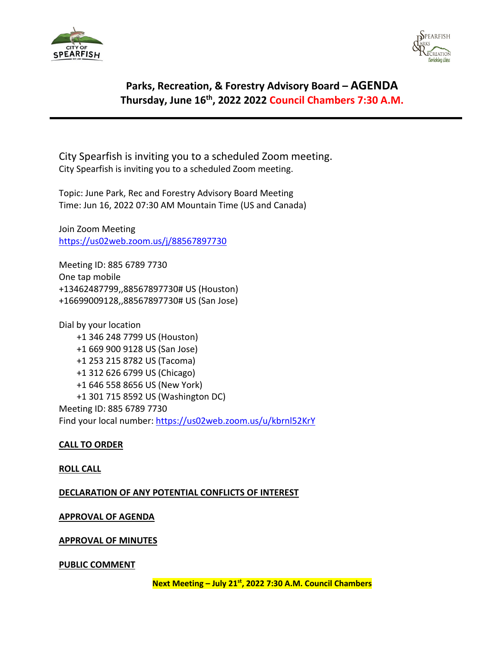



# **Parks, Recreation, & Forestry Advisory Board – AGENDA Thursday, June 16th, 2022 2022 Council Chambers 7:30 A.M.**

City Spearfish is inviting you to a scheduled Zoom meeting. City Spearfish is inviting you to a scheduled Zoom meeting.

Topic: June Park, Rec and Forestry Advisory Board Meeting Time: Jun 16, 2022 07:30 AM Mountain Time (US and Canada)

Join Zoom Meeting <https://us02web.zoom.us/j/88567897730>

Meeting ID: 885 6789 7730 One tap mobile +13462487799,,88567897730# US (Houston) +16699009128,,88567897730# US (San Jose)

Dial by your location +1 346 248 7799 US (Houston) +1 669 900 9128 US (San Jose) +1 253 215 8782 US (Tacoma) +1 312 626 6799 US (Chicago) +1 646 558 8656 US (New York) +1 301 715 8592 US (Washington DC) Meeting ID: 885 6789 7730 Find your local number:<https://us02web.zoom.us/u/kbrnl52KrY>

# **CALL TO ORDER**

## **ROLL CALL**

**DECLARATION OF ANY POTENTIAL CONFLICTS OF INTEREST**

## **APPROVAL OF AGENDA**

## **APPROVAL OF MINUTES**

## **PUBLIC COMMENT**